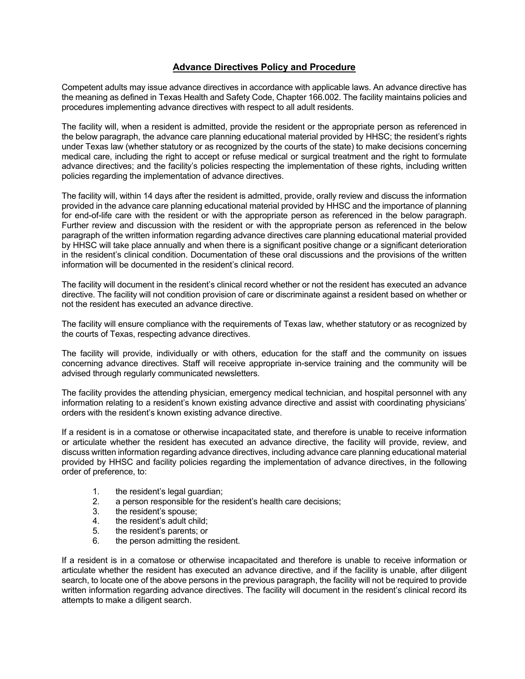## **Advance Directives Policy and Procedure**

Competent adults may issue advance directives in accordance with applicable laws. An advance directive has the meaning as defined in Texas Health and Safety Code, Chapter 166.002. The facility maintains policies and procedures implementing advance directives with respect to all adult residents.

The facility will, when a resident is admitted, provide the resident or the appropriate person as referenced in the below paragraph, the advance care planning educational material provided by HHSC; the resident's rights under Texas law (whether statutory or as recognized by the courts of the state) to make decisions concerning medical care, including the right to accept or refuse medical or surgical treatment and the right to formulate advance directives; and the facility's policies respecting the implementation of these rights, including written policies regarding the implementation of advance directives.

The facility will, within 14 days after the resident is admitted, provide, orally review and discuss the information provided in the advance care planning educational material provided by HHSC and the importance of planning for end-of-life care with the resident or with the appropriate person as referenced in the below paragraph. Further review and discussion with the resident or with the appropriate person as referenced in the below paragraph of the written information regarding advance directives care planning educational material provided by HHSC will take place annually and when there is a significant positive change or a significant deterioration in the resident's clinical condition. Documentation of these oral discussions and the provisions of the written information will be documented in the resident's clinical record.

The facility will document in the resident's clinical record whether or not the resident has executed an advance directive. The facility will not condition provision of care or discriminate against a resident based on whether or not the resident has executed an advance directive.

The facility will ensure compliance with the requirements of Texas law, whether statutory or as recognized by the courts of Texas, respecting advance directives.

The facility will provide, individually or with others, education for the staff and the community on issues concerning advance directives. Staff will receive appropriate in-service training and the community will be advised through regularly communicated newsletters.

The facility provides the attending physician, emergency medical technician, and hospital personnel with any information relating to a resident's known existing advance directive and assist with coordinating physicians' orders with the resident's known existing advance directive.

If a resident is in a comatose or otherwise incapacitated state, and therefore is unable to receive information or articulate whether the resident has executed an advance directive, the facility will provide, review, and discuss written information regarding advance directives, including advance care planning educational material provided by HHSC and facility policies regarding the implementation of advance directives, in the following order of preference, to:

- 1. the resident's legal guardian;
- 2. a person responsible for the resident's health care decisions;
- 3. the resident's spouse;
- 4. the resident's adult child;
- 5. the resident's parents; or
- 6. the person admitting the resident.

If a resident is in a comatose or otherwise incapacitated and therefore is unable to receive information or articulate whether the resident has executed an advance directive, and if the facility is unable, after diligent search, to locate one of the above persons in the previous paragraph, the facility will not be required to provide written information regarding advance directives. The facility will document in the resident's clinical record its attempts to make a diligent search.